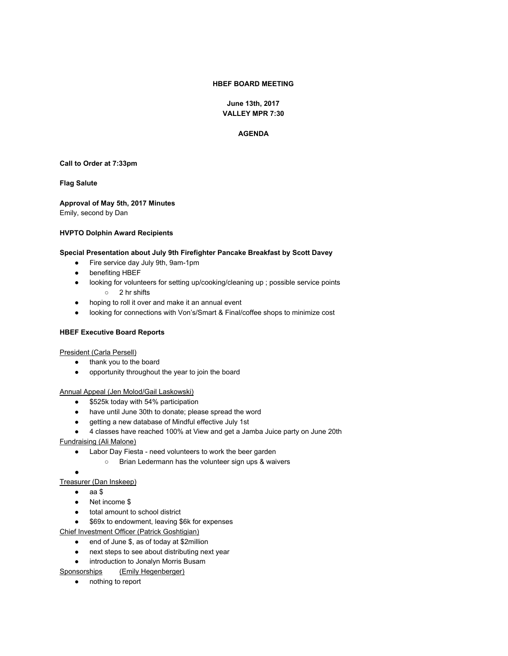### **HBEF BOARD MEETING**

# **June 13th, 2017 VALLEY MPR 7:30**

## **AGENDA**

### **Call to Order at 7:33pm**

## **Flag Salute**

## **Approval of May 5th, 2017 Minutes**

Emily, second by Dan

## **HVPTO Dolphin Award Recipients**

### **Special Presentation about July 9th Firefighter Pancake Breakfast by Scott Davey**

- Fire service day July 9th, 9am-1pm
- benefiting HBEF
- looking for volunteers for setting up/cooking/cleaning up ; possible service points ○ 2 hr shifts
- hoping to roll it over and make it an annual event
- looking for connections with Von's/Smart & Final/coffee shops to minimize cost

### **HBEF Executive Board Reports**

### President (Carla Persell)

- thank you to the board
- opportunity throughout the year to join the board

### Annual Appeal (Jen Molod/Gail Laskowski)

- \$525k today with 54% participation
- have until June 30th to donate; please spread the word
- getting a new database of Mindful effective July 1st
- 4 classes have reached 100% at View and get a Jamba Juice party on June 20th

# Fundraising (Ali Malone)

- Labor Day Fiesta need volunteers to work the beer garden
	- Brian Ledermann has the volunteer sign ups & waivers
- ●

# Treasurer (Dan Inskeep)

- aa \$
- Net income \$
- total amount to school district
- \$69x to endowment, leaving \$6k for expenses

Chief Investment Officer (Patrick Goshtigian)

- end of June \$, as of today at \$2million
- next steps to see about distributing next year
- introduction to Jonalyn Morris Busam

# Sponsorships (Emily Hegenberger)

● nothing to report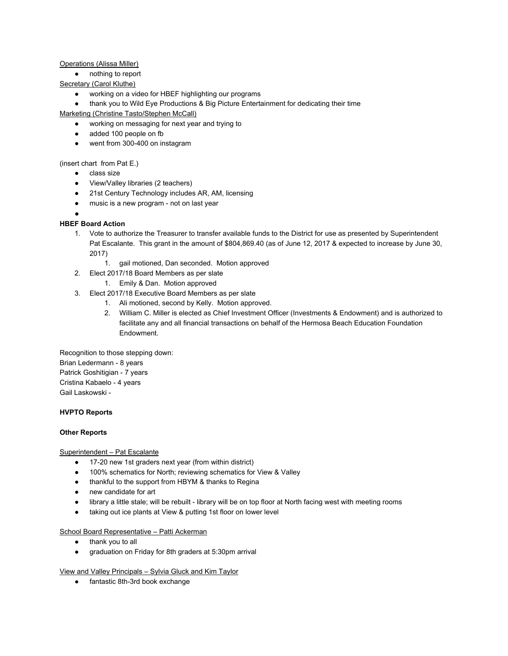# Operations (Alissa Miller)

● nothing to report

# Secretary (Carol Kluthe)

- working on a video for HBEF highlighting our programs
- thank you to Wild Eye Productions & Big Picture Entertainment for dedicating their time

Marketing (Christine Tasto/Stephen McCall)

- working on messaging for next year and trying to
- added 100 people on fb
- went from 300-400 on instagram

# (insert chart from Pat E.)

- class size
- View/Valley libraries (2 teachers)
- 21st Century Technology includes AR, AM, licensing
- music is a new program not on last year
- ●

# **HBEF Board Action**

- 1. Vote to authorize the Treasurer to transfer available funds to the District for use as presented by Superintendent Pat Escalante. This grant in the amount of \$804,869.40 (as of June 12, 2017 & expected to increase by June 30, 2017)
	- 1. gail motioned, Dan seconded. Motion approved
- 2. Elect 2017/18 Board Members as per slate
	- 1. Emily & Dan. Motion approved
- 3. Elect 2017/18 Executive Board Members as per slate
	- 1. Ali motioned, second by Kelly. Motion approved.
	- 2. William C. Miller is elected as Chief Investment Officer (Investments & Endowment) and is authorized to facilitate any and all financial transactions on behalf of the Hermosa Beach Education Foundation Endowment.

Recognition to those stepping down: Brian Ledermann - 8 years Patrick Goshitigian - 7 years Cristina Kabaelo - 4 years Gail Laskowski -

### **HVPTO Reports**

### **Other Reports**

### Superintendent – Pat Escalante

- 17-20 new 1st graders next year (from within district)
- 100% schematics for North; reviewing schematics for View & Valley
- thankful to the support from HBYM & thanks to Regina
- new candidate for art
- library a little stale; will be rebuilt library will be on top floor at North facing west with meeting rooms
- taking out ice plants at View & putting 1st floor on lower level

# School Board Representative – Patti Ackerman

- thank you to all
- graduation on Friday for 8th graders at 5:30pm arrival

## View and Valley Principals – Sylvia Gluck and Kim Taylor

● fantastic 8th-3rd book exchange